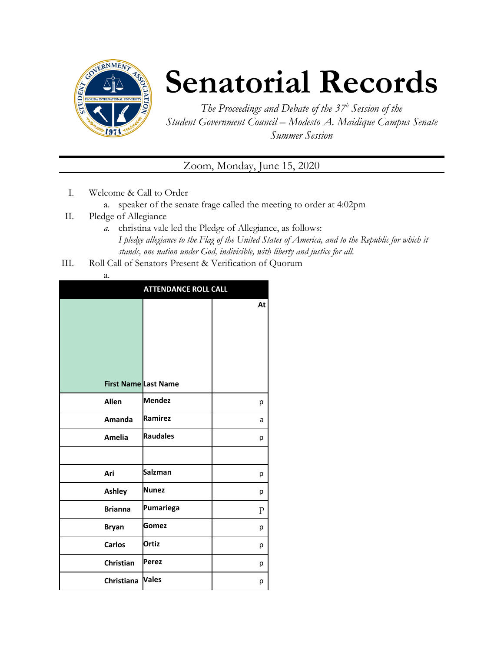

## **Senatorial Records**

*The Proceedings and Debate of the 37 <sup>h</sup> Session of the Student Government Council – Modesto A. Maidique Campus Senate Summer Session*

Zoom, Monday, June 15, 2020

- I. Welcome & Call to Order
	- a. speaker of the senate frage called the meeting to order at 4:02pm
- II. Pledge of Allegiance
	- *a.* christina vale led the Pledge of Allegiance, as follows: *I pledge allegiance to the Flag of the United States of America, and to the Republic for which it stands, one nation under God, indivisible, with liberty and justice for all.*
- III. Roll Call of Senators Present & Verification of Quorum
	- a.

|                             | <b>ATTENDANCE ROLL CALL</b> |    |  |
|-----------------------------|-----------------------------|----|--|
|                             |                             | At |  |
| <b>First Name Last Name</b> |                             |    |  |
| <b>Allen</b>                | <b>Mendez</b>               | р  |  |
| Amanda                      | Ramirez                     | a  |  |
| <b>Amelia</b>               | <b>Raudales</b>             | р  |  |
|                             |                             |    |  |
| Ari                         | <b>Salzman</b>              | р  |  |
| <b>Ashley</b>               | <b>Nunez</b>                | р  |  |
| <b>Brianna</b>              | Pumariega                   | p  |  |
| <b>Bryan</b>                | Gomez                       | р  |  |
| <b>Carlos</b>               | <b>Ortiz</b>                | р  |  |
| Christian                   | Perez                       | р  |  |
| Christiana Vales            |                             | р  |  |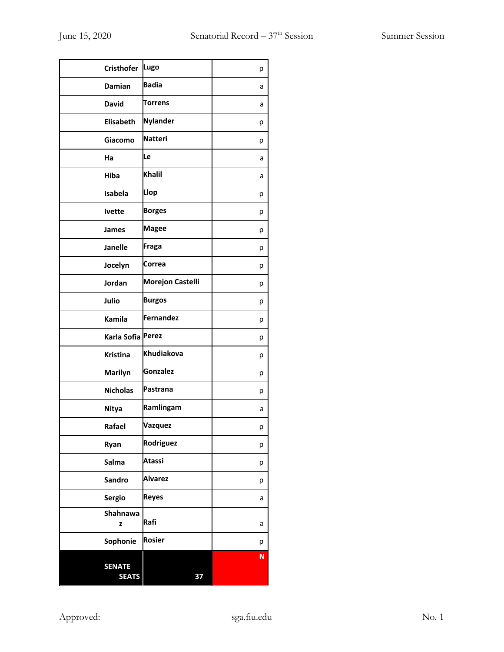| Lugo<br><b>Cristhofer</b><br>р<br><b>Badia</b><br><b>Damian</b><br>a<br><b>Torrens</b><br><b>David</b><br>a<br><b>Nylander</b><br><b>Elisabeth</b><br>р<br><b>Natteri</b><br>Giacomo<br>р<br>Le<br>Ha<br>a<br><b>Khalil</b><br>Hiba<br>a<br>Llop<br>Isabela<br>р<br><b>Borges</b><br><b>lvette</b><br>р<br><b>Magee</b><br><b>James</b><br>р<br>Fraga<br><b>Janelle</b><br>р<br>Correa<br>Jocelyn<br>р<br><b>Morejon Castelli</b><br>Jordan<br>р<br><b>Burgos</b><br>Julio<br>р<br>Fernandez<br>Kamila<br>р<br>Karla Sofia Perez<br>р<br>Khudiakova<br><b>Kristina</b><br>р<br><b>Gonzalez</b><br><b>Marilyn</b><br>р<br>Pastrana<br><b>Nicholas</b><br>р<br>Ramlingam<br><b>Nitya</b><br>a<br><b>Vazquez</b><br>Rafael<br>р<br>Rodriguez<br>Ryan<br>р<br><b>Atassi</b><br>Salma<br>р<br><b>Alvarez</b><br>Sandro<br>р<br><b>Reyes</b><br><b>Sergio</b><br>а<br>Shahnawa<br>Rafi<br>z<br>а<br><b>Rosier</b><br>Sophonie<br>р<br>N<br><b>SENATE</b><br><b>SEATS</b><br>37 |  |  |
|--------------------------------------------------------------------------------------------------------------------------------------------------------------------------------------------------------------------------------------------------------------------------------------------------------------------------------------------------------------------------------------------------------------------------------------------------------------------------------------------------------------------------------------------------------------------------------------------------------------------------------------------------------------------------------------------------------------------------------------------------------------------------------------------------------------------------------------------------------------------------------------------------------------------------------------------------------------------------|--|--|
|                                                                                                                                                                                                                                                                                                                                                                                                                                                                                                                                                                                                                                                                                                                                                                                                                                                                                                                                                                          |  |  |
|                                                                                                                                                                                                                                                                                                                                                                                                                                                                                                                                                                                                                                                                                                                                                                                                                                                                                                                                                                          |  |  |
|                                                                                                                                                                                                                                                                                                                                                                                                                                                                                                                                                                                                                                                                                                                                                                                                                                                                                                                                                                          |  |  |
|                                                                                                                                                                                                                                                                                                                                                                                                                                                                                                                                                                                                                                                                                                                                                                                                                                                                                                                                                                          |  |  |
|                                                                                                                                                                                                                                                                                                                                                                                                                                                                                                                                                                                                                                                                                                                                                                                                                                                                                                                                                                          |  |  |
|                                                                                                                                                                                                                                                                                                                                                                                                                                                                                                                                                                                                                                                                                                                                                                                                                                                                                                                                                                          |  |  |
|                                                                                                                                                                                                                                                                                                                                                                                                                                                                                                                                                                                                                                                                                                                                                                                                                                                                                                                                                                          |  |  |
|                                                                                                                                                                                                                                                                                                                                                                                                                                                                                                                                                                                                                                                                                                                                                                                                                                                                                                                                                                          |  |  |
|                                                                                                                                                                                                                                                                                                                                                                                                                                                                                                                                                                                                                                                                                                                                                                                                                                                                                                                                                                          |  |  |
|                                                                                                                                                                                                                                                                                                                                                                                                                                                                                                                                                                                                                                                                                                                                                                                                                                                                                                                                                                          |  |  |
|                                                                                                                                                                                                                                                                                                                                                                                                                                                                                                                                                                                                                                                                                                                                                                                                                                                                                                                                                                          |  |  |
|                                                                                                                                                                                                                                                                                                                                                                                                                                                                                                                                                                                                                                                                                                                                                                                                                                                                                                                                                                          |  |  |
|                                                                                                                                                                                                                                                                                                                                                                                                                                                                                                                                                                                                                                                                                                                                                                                                                                                                                                                                                                          |  |  |
|                                                                                                                                                                                                                                                                                                                                                                                                                                                                                                                                                                                                                                                                                                                                                                                                                                                                                                                                                                          |  |  |
|                                                                                                                                                                                                                                                                                                                                                                                                                                                                                                                                                                                                                                                                                                                                                                                                                                                                                                                                                                          |  |  |
|                                                                                                                                                                                                                                                                                                                                                                                                                                                                                                                                                                                                                                                                                                                                                                                                                                                                                                                                                                          |  |  |
|                                                                                                                                                                                                                                                                                                                                                                                                                                                                                                                                                                                                                                                                                                                                                                                                                                                                                                                                                                          |  |  |
|                                                                                                                                                                                                                                                                                                                                                                                                                                                                                                                                                                                                                                                                                                                                                                                                                                                                                                                                                                          |  |  |
|                                                                                                                                                                                                                                                                                                                                                                                                                                                                                                                                                                                                                                                                                                                                                                                                                                                                                                                                                                          |  |  |
|                                                                                                                                                                                                                                                                                                                                                                                                                                                                                                                                                                                                                                                                                                                                                                                                                                                                                                                                                                          |  |  |
|                                                                                                                                                                                                                                                                                                                                                                                                                                                                                                                                                                                                                                                                                                                                                                                                                                                                                                                                                                          |  |  |
|                                                                                                                                                                                                                                                                                                                                                                                                                                                                                                                                                                                                                                                                                                                                                                                                                                                                                                                                                                          |  |  |
|                                                                                                                                                                                                                                                                                                                                                                                                                                                                                                                                                                                                                                                                                                                                                                                                                                                                                                                                                                          |  |  |
|                                                                                                                                                                                                                                                                                                                                                                                                                                                                                                                                                                                                                                                                                                                                                                                                                                                                                                                                                                          |  |  |
|                                                                                                                                                                                                                                                                                                                                                                                                                                                                                                                                                                                                                                                                                                                                                                                                                                                                                                                                                                          |  |  |
|                                                                                                                                                                                                                                                                                                                                                                                                                                                                                                                                                                                                                                                                                                                                                                                                                                                                                                                                                                          |  |  |
|                                                                                                                                                                                                                                                                                                                                                                                                                                                                                                                                                                                                                                                                                                                                                                                                                                                                                                                                                                          |  |  |
|                                                                                                                                                                                                                                                                                                                                                                                                                                                                                                                                                                                                                                                                                                                                                                                                                                                                                                                                                                          |  |  |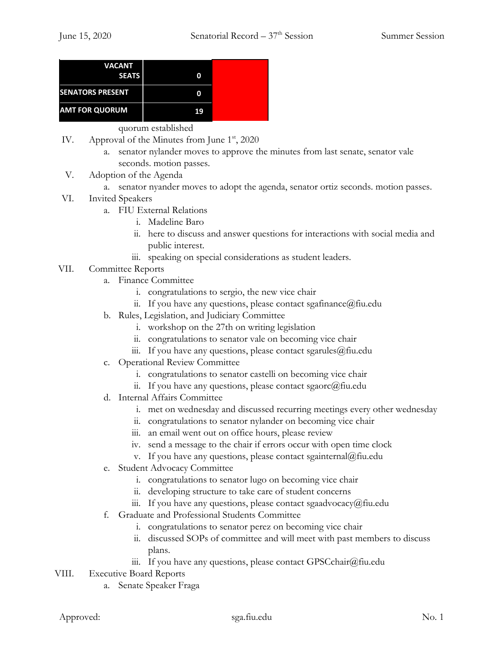| <b>VACANT</b><br><b>SEATS</b> | 0  |  |
|-------------------------------|----|--|
| <b>SENATORS PRESENT</b>       | 0  |  |
| <b>AMT FOR QUORUM</b>         | 19 |  |

quorum established

- IV. Approval of the Minutes from June 1<sup>st</sup>, 2020
	- a. senator nylander moves to approve the minutes from last senate, senator vale seconds. motion passes.
- V. Adoption of the Agenda
	- a. senator nyander moves to adopt the agenda, senator ortiz seconds. motion passes.
- VI. Invited Speakers
	- a. FIU External Relations
		- i. Madeline Baro
		- ii. here to discuss and answer questions for interactions with social media and public interest.
		- iii. speaking on special considerations as student leaders.
- VII. Committee Reports
	- a. Finance Committee
		- i. congratulations to sergio, the new vice chair
		- ii. If you have any questions, please contact sgafinance  $(a)$  fiu.edu
	- b. Rules, Legislation, and Judiciary Committee
		- i. workshop on the 27th on writing legislation
		- ii. congratulations to senator vale on becoming vice chair
		- iii. If you have any questions, please contact sgarules@fiu.edu
	- c. Operational Review Committee
		- i. congratulations to senator castelli on becoming vice chair
		- ii. If you have any questions, please contact sgaorc@fiu.edu
	- d. Internal Affairs Committee
		- i. met on wednesday and discussed recurring meetings every other wednesday
		- ii. congratulations to senator nylander on becoming vice chair
		- iii. an email went out on office hours, please review
		- iv. send a message to the chair if errors occur with open time clock
		- v. If you have any questions, please contact sgainternal@fiu.edu
	- e. Student Advocacy Committee
		- i. congratulations to senator lugo on becoming vice chair
		- ii. developing structure to take care of student concerns
		- iii. If you have any questions, please contact sgaadvocacy@fiu.edu
	- f. Graduate and Professional Students Committee
		- i. congratulations to senator perez on becoming vice chair
			- ii. discussed SOPs of committee and will meet with past members to discuss plans.
		- iii. If you have any questions, please contact GPSCchair@fiu.edu
- VIII. Executive Board Reports
	- a. Senate Speaker Fraga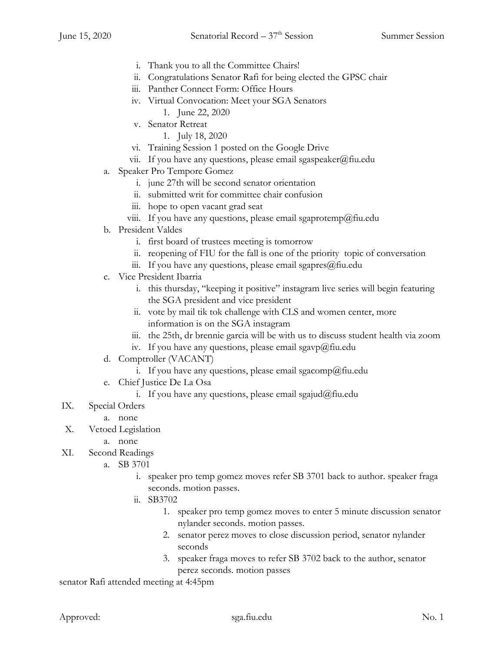- i. Thank you to all the Committee Chairs!
- ii. Congratulations Senator Rafi for being elected the GPSC chair
- iii. Panther Connect Form: Office Hours
- iv. Virtual Convocation: Meet your SGA Senators
	- 1. June 22, 2020
- v. Senator Retreat
	- 1. July 18, 2020
- vi. Training Session 1 posted on the Google Drive
- vii. If you have any questions, please email sgaspeaker@fiu.edu
- a. Speaker Pro Tempore Gomez
	- i. june 27th will be second senator orientation
	- ii. submitted writ for committee chair confusion
	- iii. hope to open vacant grad seat
	- viii. If you have any questions, please email sgaprotemp@fiu.edu
- b. President Valdes
	- i. first board of trustees meeting is tomorrow
	- ii. reopening of FIU for the fall is one of the priority topic of conversation
	- iii. If you have any questions, please email sgapres@fiu.edu
- c. Vice President Ibarria
	- i. this thursday, "keeping it positive" instagram live series will begin featuring the SGA president and vice president
	- ii. vote by mail tik tok challenge with CLS and women center, more information is on the SGA instagram
	- iii. the 25th, dr brennie garcia will be with us to discuss student health via zoom
	- iv. If you have any questions, please email sgavp@fiu.edu
- d. Comptroller (VACANT)
	- i. If you have any questions, please email sgacomp@fiu.edu
- e. Chief Justice De La Osa
	- i. If you have any questions, please email sgajud@fiu.edu
- IX. Special Orders
	- a. none
- X. Vetoed Legislation
	- a. none
- XI. Second Readings
	- a. SB 3701
		- i. speaker pro temp gomez moves refer SB 3701 back to author. speaker fraga seconds. motion passes.
		- ii. SB3702
			- 1. speaker pro temp gomez moves to enter 5 minute discussion senator nylander seconds. motion passes.
			- 2. senator perez moves to close discussion period, senator nylander seconds
			- 3. speaker fraga moves to refer SB 3702 back to the author, senator perez seconds. motion passes

senator Rafi attended meeting at 4:45pm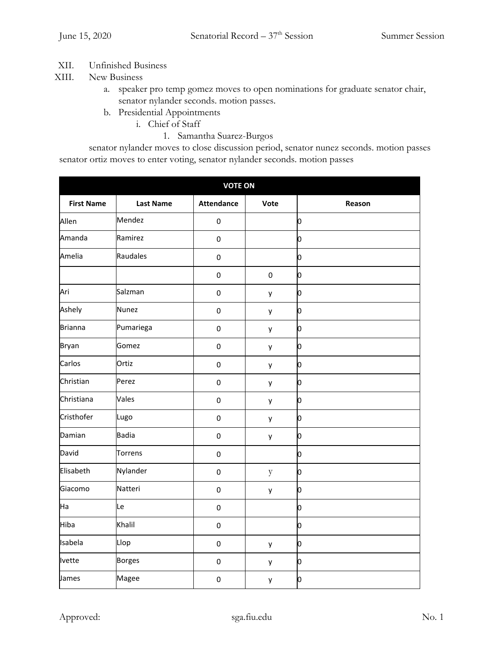## XII. Unfinished Business

- XIII. New Business
	- a. speaker pro temp gomez moves to open nominations for graduate senator chair, senator nylander seconds. motion passes.
	- b. Presidential Appointments
		- i. Chief of Staff
			- 1. Samantha Suarez-Burgos

senator nylander moves to close discussion period, senator nunez seconds. motion passes senator ortiz moves to enter voting, senator nylander seconds. motion passes

| <b>VOTE ON</b>    |                  |                   |                  |        |
|-------------------|------------------|-------------------|------------------|--------|
| <b>First Name</b> | <b>Last Name</b> | <b>Attendance</b> | Vote             | Reason |
| Allen             | Mendez           | $\pmb{0}$         |                  | o      |
| Amanda            | Ramirez          | $\pmb{0}$         |                  | o      |
| Amelia            | Raudales         | $\pmb{0}$         |                  | o      |
|                   |                  | $\pmb{0}$         | $\boldsymbol{0}$ | o      |
| Ari               | Salzman          | $\pmb{0}$         | у                | О      |
| Ashely            | <b>Nunez</b>     | $\pmb{0}$         | у                | o      |
| <b>Brianna</b>    | Pumariega        | $\pmb{0}$         | у                | o      |
| <b>Bryan</b>      | Gomez            | $\pmb{0}$         | y                | О      |
| Carlos            | Ortiz            | $\pmb{0}$         | y                | o      |
| Christian         | Perez            | $\pmb{0}$         | у                | o      |
| Christiana        | Vales            | $\pmb{0}$         | у                | О      |
| Cristhofer        | Lugo             | $\pmb{0}$         | у                | o      |
| Damian            | <b>Badia</b>     | $\pmb{0}$         | y                | О      |
| David             | Torrens          | $\pmb{0}$         |                  | О      |
| Elisabeth         | Nylander         | $\pmb{0}$         | y                | o      |
| Giacomo           | Natteri          | $\pmb{0}$         | у                | О      |
| Ha                | Le               | $\pmb{0}$         |                  | o      |
| Hiba              | Khalil           | $\pmb{0}$         |                  | o      |
| Isabela           | Llop             | $\pmb{0}$         | y                | o      |
| Ivette            | <b>Borges</b>    | $\pmb{0}$         | у                | o      |
| James             | Magee            | $\pmb{0}$         | у                | О      |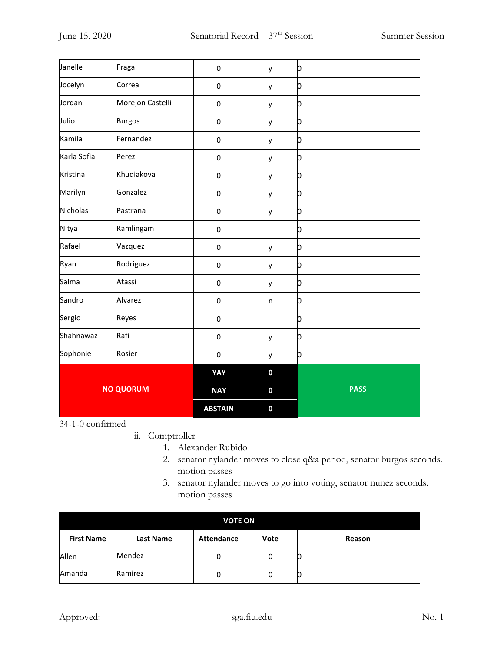| Janelle          | Fraga            | $\boldsymbol{0}$ | y        | 0           |
|------------------|------------------|------------------|----------|-------------|
| Jocelyn          | Correa           | $\pmb{0}$        | y        | O           |
| Jordan           | Morejon Castelli | $\boldsymbol{0}$ | y        | О           |
| Julio            | <b>Burgos</b>    | $\pmb{0}$        | у        | 0           |
| Kamila           | Fernandez        | $\pmb{0}$        | y        | o           |
| Karla Sofia      | Perez            | $\pmb{0}$        | у        | O           |
| Kristina         | Khudiakova       | $\pmb{0}$        | у        | О           |
| Marilyn          | Gonzalez         | $\pmb{0}$        | у        | 0           |
| Nicholas         | Pastrana         | $\pmb{0}$        | у        | O           |
| Nitya            | Ramlingam        | $\boldsymbol{0}$ |          | О           |
| Rafael           | Vazquez          | $\boldsymbol{0}$ | у        | О           |
| Ryan             | Rodriguez        | $\pmb{0}$        | y        | О           |
| Salma            | Atassi           | $\pmb{0}$        | y        | O           |
| Sandro           | Alvarez          | $\pmb{0}$        | $\sf n$  | О           |
| Sergio           | Reyes            | $\pmb{0}$        |          | 0           |
| Shahnawaz        | Rafi             | $\pmb{0}$        | у        | o           |
| Sophonie         | Rosier           | $\pmb{0}$        | у        | O           |
|                  |                  | YAY              | $\bf{0}$ |             |
| <b>NO QUORUM</b> |                  | <b>NAY</b>       | $\bf{0}$ | <b>PASS</b> |
|                  |                  | <b>ABSTAIN</b>   | $\bf{0}$ |             |

34-1-0 confirmed

- ii. Comptroller
	- 1. Alexander Rubido
	- 2. senator nylander moves to close q&a period, senator burgos seconds. motion passes
	- 3. senator nylander moves to go into voting, senator nunez seconds. motion passes

| <b>VOTE ON</b>    |           |                   |      |        |
|-------------------|-----------|-------------------|------|--------|
| <b>First Name</b> | Last Name | <b>Attendance</b> | Vote | Reason |
| Allen             | Mendez    | 0                 | 0    |        |
| Amanda            | Ramirez   | 0                 | 0    | ΙU     |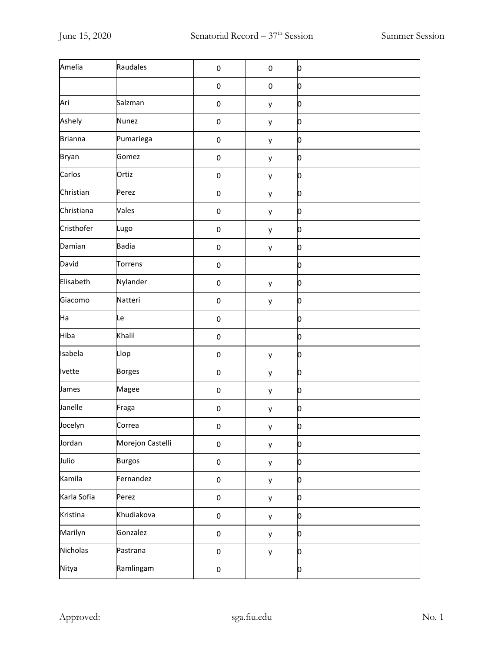| Amelia         | Raudales         | $\pmb{0}$   | $\pmb{0}$ | Ю |
|----------------|------------------|-------------|-----------|---|
|                |                  | $\pmb{0}$   | $\pmb{0}$ | o |
| Ari            | Salzman          | $\pmb{0}$   | у         | Ю |
| Ashely         | <b>Nunez</b>     | $\pmb{0}$   | у         | o |
| <b>Brianna</b> | Pumariega        | $\pmb{0}$   | у         | o |
| <b>Bryan</b>   | Gomez            | $\pmb{0}$   | y         | Ю |
| Carlos         | Ortiz            | $\pmb{0}$   | y         | o |
| Christian      | Perez            | $\pmb{0}$   | у         | Ю |
| Christiana     | Vales            | $\pmb{0}$   | у         | Ю |
| Cristhofer     | Lugo             | $\pmb{0}$   | у         | o |
| Damian         | <b>Badia</b>     | $\pmb{0}$   | у         | Ю |
| David          | Torrens          | $\pmb{0}$   |           | o |
| Elisabeth      | Nylander         | $\pmb{0}$   | у         | Ю |
| Giacomo        | Natteri          | $\pmb{0}$   | у         | Ю |
| Ha             | Le               | $\pmb{0}$   |           | О |
| Hiba           | Khalil           | $\pmb{0}$   |           | Ю |
| Isabela        | Llop             | $\pmb{0}$   | у         | Ю |
| <b>Ivette</b>  | <b>Borges</b>    | $\pmb{0}$   | у         | o |
| James          | Magee            | $\pmb{0}$   | у         | Ю |
| Janelle        | Fraga            | $\pmb{0}$   | у         | o |
| Jocelyn        | Correa           | $\mathbf 0$ | y         | 0 |
| Jordan         | Morejon Castelli | $\pmb{0}$   | y         | O |
| Julio          | <b>Burgos</b>    | $\pmb{0}$   | y         | o |
| Kamila         | Fernandez        | $\pmb{0}$   | y         | o |
| Karla Sofia    | Perez            | $\pmb{0}$   | y         | Ю |
| Kristina       | Khudiakova       | $\pmb{0}$   | y         | o |
| Marilyn        | Gonzalez         | $\pmb{0}$   | y         | o |
| Nicholas       | Pastrana         | $\pmb{0}$   | y         | o |
| Nitya          | Ramlingam        | $\pmb{0}$   |           | O |